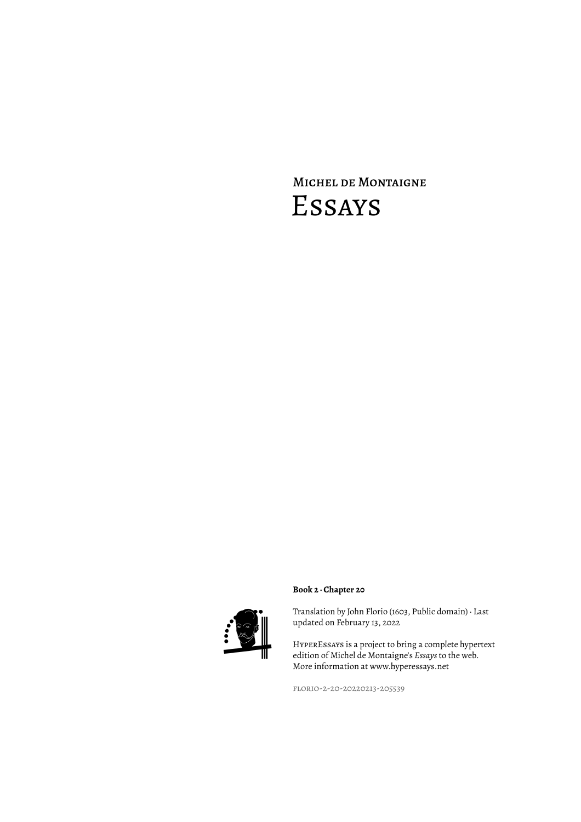# Michel de Montaigne Essays



## **Book 2 · Chapter 20**

Translation by John Florio (1603, Public domain) · Last updated on February 13, 2022

HyperEssays is a project to bring a complete hypertext edition of Michel de Montaigne's *Essays* to the web. More information at www.hyperessays.net

florio-2-20-20220213-205539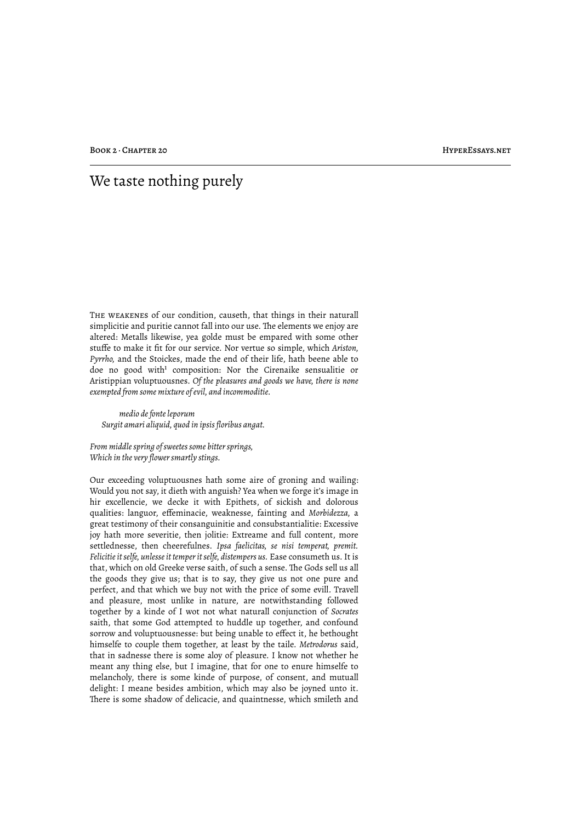# We taste nothing purely

The weakenes of our condition, causeth, that things in their naturall simplicitie and puritie cannot fall into our use. The elements we enjoy are altered: Metalls likewise, yea golde must be empared with some other stuffe to make it fit for our service. Nor vertue so simple, which *Ariston, Pyrrho,* and the Stoickes, made the end of their life, hath beene able to doe no good with<sup>1</sup> composition: Nor the Cirenaike sensualitie or Aristippian voluptuousnes. *Of the pleasures and goods we have, there is none exempted from some mixture of evil, and incommoditie.*

*medio de fonte leporum Surgit amari aliquid, quod in ipsis floribus angat.*

*From middle spring of sweetes some bitter springs, Which in the very flower smartly stings.*

Our exceeding voluptuousnes hath some aire of groning and wailing: Would you not say, it dieth with anguish? Yea when we forge it's image in hir excellencie, we decke it with Epithets, of sickish and dolorous qualities: languor, effeminacie, weaknesse, fainting and *Morbidezza,* a great testimony of their consanguinitie and consubstantialitie: Excessive joy hath more severitie, then jolitie: Extreame and full content, more settlednesse, then cheerefulnes. *Ipsa faelicitas, se nisi temperat, premit. Felicitie it selfe, unlesse it temper it selfe, distempers us.* Ease consumeth us. It is that, which on old Greeke verse saith, of such a sense. The Gods sell us all the goods they give us; that is to say, they give us not one pure and perfect, and that which we buy not with the price of some evill. Travell and pleasure, most unlike in nature, are notwithstanding followed together by a kinde of I wot not what naturall conjunction of *Socrates* saith, that some God attempted to huddle up together, and confound sorrow and voluptuousnesse: but being unable to effect it, he bethought himselfe to couple them together, at least by the taile. *Metrodorus* said, that in sadnesse there is some aloy of pleasure. I know not whether he meant any thing else, but I imagine, that for one to enure himselfe to melancholy, there is some kinde of purpose, of consent, and mutuall delight: I meane besides ambition, which may also be joyned unto it. There is some shadow of delicacie, and quaintnesse, which smileth and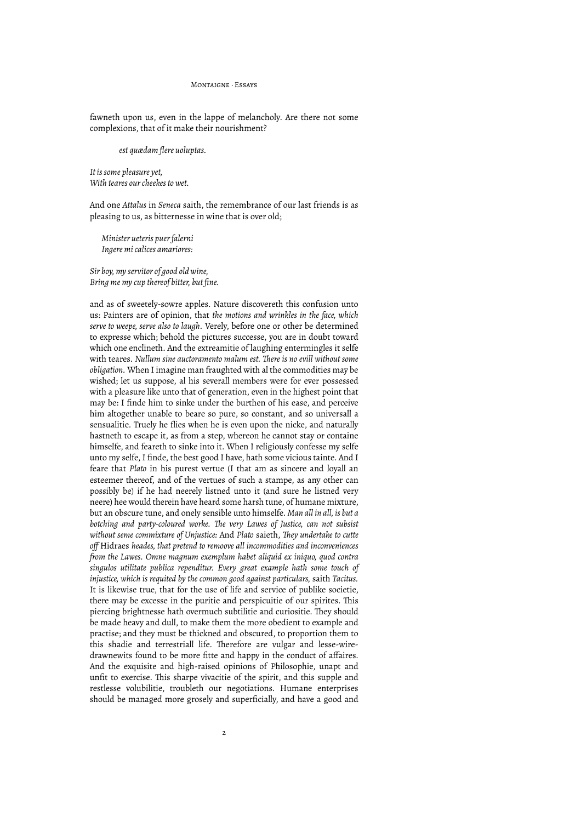#### Montaigne · Essays

fawneth upon us, even in the lappe of melancholy. Are there not some complexions, that of it make their nourishment?

#### *est quædam flere uoluptas.*

*It is some pleasure yet, With teares our cheekes to wet.*

And one *Attalus* in *Seneca* saith, the remembrance of our last friends is as pleasing to us, as bitternesse in wine that is over old;

*Minister ueteris puer falerni Ingere mi calices amariores:*

*Sir boy, my servitor of good old wine, Bring me my cup thereof bitter, but fine.*

and as of sweetely-sowre apples. Nature discovereth this confusion unto us: Painters are of opinion, that *the motions and wrinkles in the face, which serve to weepe, serve also to laugh.* Verely, before one or other be determined to expresse which; behold the pictures successe, you are in doubt toward which one enclineth. And the extreamitie of laughing entermingles it selfe with teares. *Nullum sine auctoramento malum est. "ere is no evill without some obligation.* When I imagine man fraughted with al the commodities may be wished; let us suppose, al his severall members were for ever possessed with a pleasure like unto that of generation, even in the highest point that may be: I finde him to sinke under the burthen of his ease, and perceive him altogether unable to beare so pure, so constant, and so universall a sensualitie. Truely he flies when he is even upon the nicke, and naturally hastneth to escape it, as from a step, whereon he cannot stay or containe himselfe, and feareth to sinke into it. When I religiously confesse my selfe unto my selfe, I finde, the best good I have, hath some vicious tainte. And I feare that *Plato* in his purest vertue (I that am as sincere and loyall an esteemer thereof, and of the vertues of such a stampe, as any other can possibly be) if he had neerely listned unto it (and sure he listned very neere) hee would therein have heard some harsh tune, of humane mixture, but an obscure tune, and onely sensible unto himselfe. *Man all in all, is but a botching and party-coloured worke. "e very Lawes of Justice, can not subsist without seme commixture of Unjustice:* And *Plato* saieth, *"ey undertake to cutte off* Hidraes *heades, that pretend to remoove all incommodities and inconveniences from the Lawes. Omne magnum exemplum habet aliquid ex iniquo, quod contra singulos utilitate publica rependitur. Every great example hath some touch of injustice, which is requited by the common good against particulars,* saith *Tacitus.* It is likewise true, that for the use of life and service of publike societie, there may be excesse in the puritie and perspicuitie of our spirites. This piercing brightnesse hath overmuch subtilitie and curiositie. They should be made heavy and dull, to make them the more obedient to example and practise; and they must be thickned and obscured, to proportion them to this shadie and terrestriall life. Therefore are vulgar and lesse-wiredrawnewits found to be more fitte and happy in the conduct of affaires. And the exquisite and high-raised opinions of Philosophie, unapt and unfit to exercise. This sharpe vivacitie of the spirit, and this supple and restlesse volubilitie, troubleth our negotiations. Humane enterprises should be managed more grosely and superficially, and have a good and